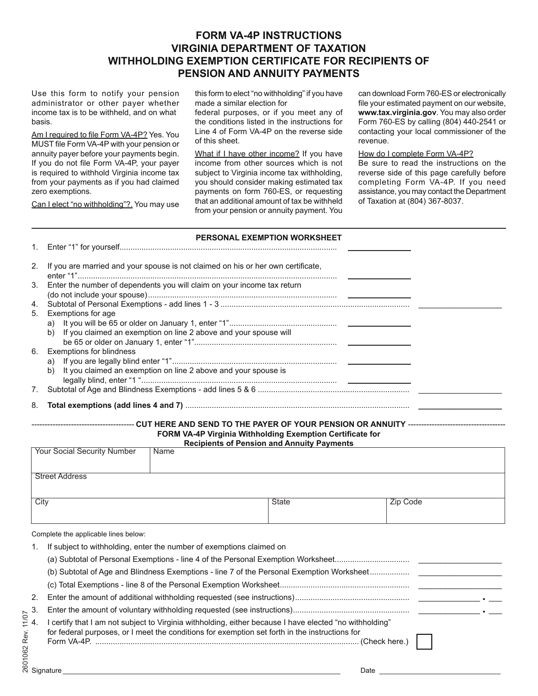## **FORM VA-4P INSTRUCTIONS VIRGINIA DEPARTMENT OF TAXATION WITHHOLDING EXEMPTION CERTIFICATE FOR RECIPIENTS OF PENSION AND ANNUITY PAYMENTS**

Use this form to notify your pension administrator or other payer whether income tax is to be withheld, and on what basis.

Am I required to file Form VA-4P? Yes. You MUST file Form VA-4P with your pension or annuity payer before your payments begin. If you do not file Form VA-4P, your payer is required to withhold Virginia income tax from your payments as if you had claimed zero exemptions.

Can I elect "no withholding"?. You may use

this form to elect "no withholding" if you have made a similar election for

federal purposes, or if you meet any of the conditions listed in the instructions for Line 4 of Form VA-4P on the reverse side of this sheet.

What if I have other income? If you have income from other sources which is not subject to Virginia income tax withholding, you should consider making estimated tax payments on form 760-ES, or requesting that an additional amount of tax be withheld from your pension or annuity payment. You

can download Form 760-ES or electronically file your estimated payment on our website, **www.tax.virginia.gov**. You may also order Form 760-ES by calling (804) 440-2541 or contacting your local commissioner of the revenue.

## How do I complete Form VA-4P?

Be sure to read the instructions on the reverse side of this page carefully before completing Form VA-4P. If you need assistance, you may contact the Department of Taxation at (804) 367-8037.

|                                                                                                                                                                                                                                                                                       |                                                                                                                                                                                                           | PERSONAL EXEMPTION WORKSHEET |       |          |  |  |  |  |
|---------------------------------------------------------------------------------------------------------------------------------------------------------------------------------------------------------------------------------------------------------------------------------------|-----------------------------------------------------------------------------------------------------------------------------------------------------------------------------------------------------------|------------------------------|-------|----------|--|--|--|--|
| 1.                                                                                                                                                                                                                                                                                    |                                                                                                                                                                                                           |                              |       |          |  |  |  |  |
| 2.                                                                                                                                                                                                                                                                                    | If you are married and your spouse is not claimed on his or her own certificate,                                                                                                                          |                              |       |          |  |  |  |  |
| 3.                                                                                                                                                                                                                                                                                    | Enter the number of dependents you will claim on your income tax return                                                                                                                                   |                              |       |          |  |  |  |  |
| 4.<br>5.                                                                                                                                                                                                                                                                              | Exemptions for age                                                                                                                                                                                        |                              |       |          |  |  |  |  |
|                                                                                                                                                                                                                                                                                       | a)<br>If you claimed an exemption on line 2 above and your spouse will<br>b)                                                                                                                              |                              |       |          |  |  |  |  |
| 6.                                                                                                                                                                                                                                                                                    | <b>Exemptions for blindness</b>                                                                                                                                                                           |                              |       |          |  |  |  |  |
|                                                                                                                                                                                                                                                                                       | b) It you claimed an exemption on line 2 above and your spouse is                                                                                                                                         |                              |       |          |  |  |  |  |
| 7.                                                                                                                                                                                                                                                                                    |                                                                                                                                                                                                           |                              |       |          |  |  |  |  |
| 8.                                                                                                                                                                                                                                                                                    |                                                                                                                                                                                                           |                              |       |          |  |  |  |  |
| ----------------------- CUT HERE AND SEND TO THE PAYER OF YOUR PENSION OR ANNUITY ----------------------------<br>FORM VA-4P Virginia Withholding Exemption Certificate for<br><b>Recipients of Pension and Annuity Payments</b><br><b>Your Social Security Number</b><br><b>Name</b> |                                                                                                                                                                                                           |                              |       |          |  |  |  |  |
|                                                                                                                                                                                                                                                                                       | <b>Street Address</b>                                                                                                                                                                                     |                              |       |          |  |  |  |  |
| City                                                                                                                                                                                                                                                                                  |                                                                                                                                                                                                           |                              | State | Zip Code |  |  |  |  |
|                                                                                                                                                                                                                                                                                       | Complete the applicable lines below:                                                                                                                                                                      |                              |       |          |  |  |  |  |
| 1.                                                                                                                                                                                                                                                                                    | If subject to withholding, enter the number of exemptions claimed on                                                                                                                                      |                              |       |          |  |  |  |  |
|                                                                                                                                                                                                                                                                                       |                                                                                                                                                                                                           |                              |       |          |  |  |  |  |
|                                                                                                                                                                                                                                                                                       |                                                                                                                                                                                                           |                              |       |          |  |  |  |  |
|                                                                                                                                                                                                                                                                                       |                                                                                                                                                                                                           |                              |       |          |  |  |  |  |
| 2.                                                                                                                                                                                                                                                                                    |                                                                                                                                                                                                           |                              |       |          |  |  |  |  |
| 3.                                                                                                                                                                                                                                                                                    |                                                                                                                                                                                                           |                              |       |          |  |  |  |  |
| 4.                                                                                                                                                                                                                                                                                    | I certify that I am not subject to Virginia withholding, either because I have elected "no withholding"<br>for federal purposes, or I meet the conditions for exemption set forth in the instructions for |                              |       |          |  |  |  |  |